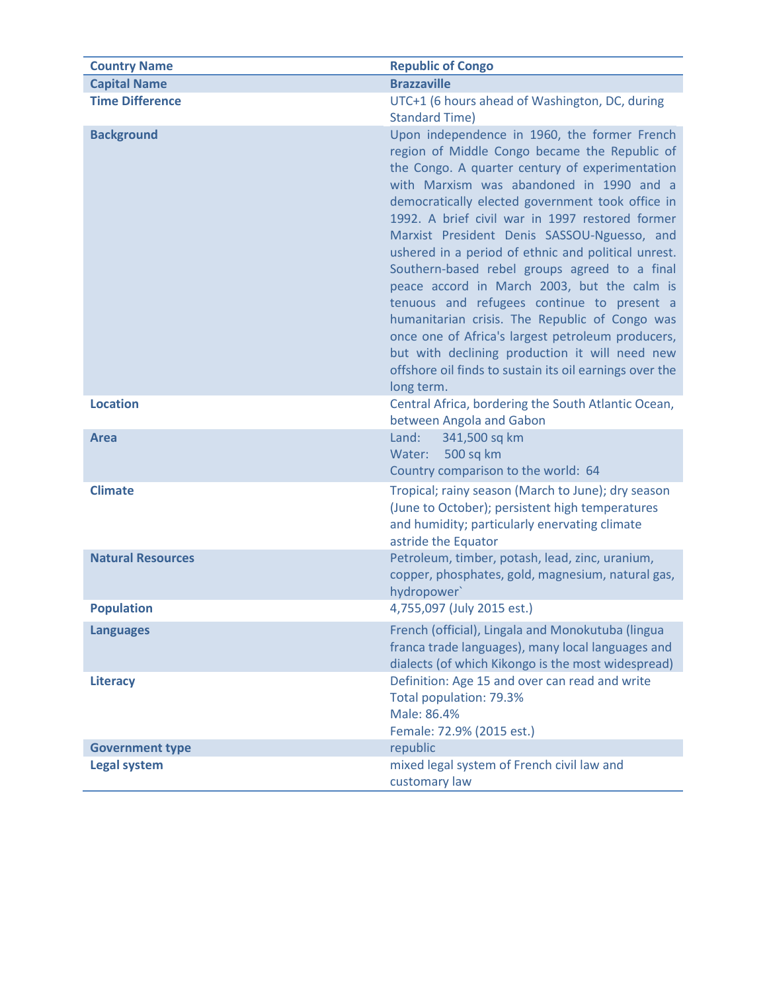| <b>Country Name</b>      | <b>Republic of Congo</b>                                                                                                                                                                                                                                                                                                                                                                                                                                                                                                                                                                                                                                                                                                                                                                  |
|--------------------------|-------------------------------------------------------------------------------------------------------------------------------------------------------------------------------------------------------------------------------------------------------------------------------------------------------------------------------------------------------------------------------------------------------------------------------------------------------------------------------------------------------------------------------------------------------------------------------------------------------------------------------------------------------------------------------------------------------------------------------------------------------------------------------------------|
| <b>Capital Name</b>      | <b>Brazzaville</b>                                                                                                                                                                                                                                                                                                                                                                                                                                                                                                                                                                                                                                                                                                                                                                        |
| <b>Time Difference</b>   | UTC+1 (6 hours ahead of Washington, DC, during<br><b>Standard Time)</b>                                                                                                                                                                                                                                                                                                                                                                                                                                                                                                                                                                                                                                                                                                                   |
| <b>Background</b>        | Upon independence in 1960, the former French<br>region of Middle Congo became the Republic of<br>the Congo. A quarter century of experimentation<br>with Marxism was abandoned in 1990 and a<br>democratically elected government took office in<br>1992. A brief civil war in 1997 restored former<br>Marxist President Denis SASSOU-Nguesso, and<br>ushered in a period of ethnic and political unrest.<br>Southern-based rebel groups agreed to a final<br>peace accord in March 2003, but the calm is<br>tenuous and refugees continue to present a<br>humanitarian crisis. The Republic of Congo was<br>once one of Africa's largest petroleum producers,<br>but with declining production it will need new<br>offshore oil finds to sustain its oil earnings over the<br>long term. |
| <b>Location</b>          | Central Africa, bordering the South Atlantic Ocean,<br>between Angola and Gabon                                                                                                                                                                                                                                                                                                                                                                                                                                                                                                                                                                                                                                                                                                           |
| <b>Area</b>              | Land:<br>341,500 sq km<br>500 sq km<br>Water:<br>Country comparison to the world: 64                                                                                                                                                                                                                                                                                                                                                                                                                                                                                                                                                                                                                                                                                                      |
| <b>Climate</b>           | Tropical; rainy season (March to June); dry season<br>(June to October); persistent high temperatures<br>and humidity; particularly enervating climate<br>astride the Equator                                                                                                                                                                                                                                                                                                                                                                                                                                                                                                                                                                                                             |
| <b>Natural Resources</b> | Petroleum, timber, potash, lead, zinc, uranium,<br>copper, phosphates, gold, magnesium, natural gas,<br>hydropower'                                                                                                                                                                                                                                                                                                                                                                                                                                                                                                                                                                                                                                                                       |
| <b>Population</b>        | 4,755,097 (July 2015 est.)                                                                                                                                                                                                                                                                                                                                                                                                                                                                                                                                                                                                                                                                                                                                                                |
| <b>Languages</b>         | French (official), Lingala and Monokutuba (lingua<br>franca trade languages), many local languages and<br>dialects (of which Kikongo is the most widespread)                                                                                                                                                                                                                                                                                                                                                                                                                                                                                                                                                                                                                              |
| <b>Literacy</b>          | Definition: Age 15 and over can read and write<br>Total population: 79.3%<br>Male: 86.4%<br>Female: 72.9% (2015 est.)                                                                                                                                                                                                                                                                                                                                                                                                                                                                                                                                                                                                                                                                     |
| <b>Government type</b>   | republic                                                                                                                                                                                                                                                                                                                                                                                                                                                                                                                                                                                                                                                                                                                                                                                  |
| <b>Legal system</b>      | mixed legal system of French civil law and<br>customary law                                                                                                                                                                                                                                                                                                                                                                                                                                                                                                                                                                                                                                                                                                                               |